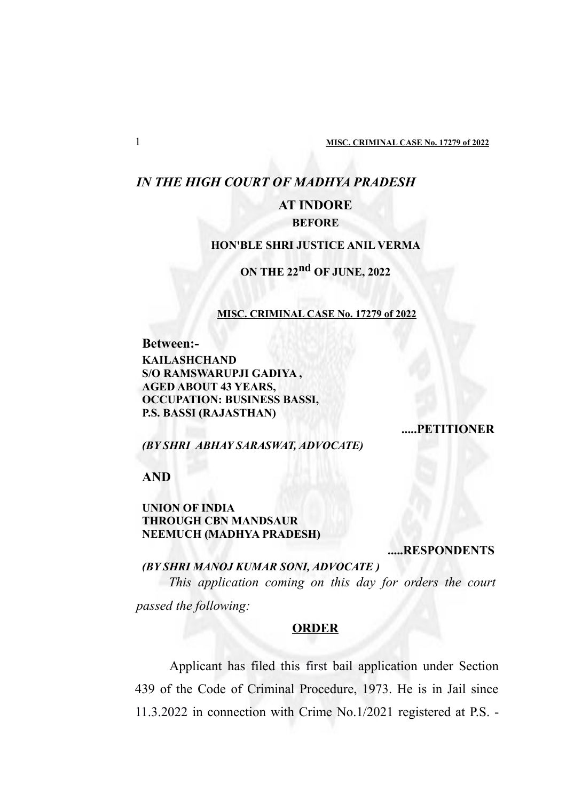# *IN THE HIGH COURT OF MADHYA PRADESH*

# **AT INDORE**

## **BEFORE**

## **HON'BLE SHRI JUSTICE ANIL VERMA**

# **ON THE 22nd OF JUNE, 2022**

#### **MISC. CRIMINAL CASE No. 17279 of 2022**

**Between:-**

**KAILASHCHAND S/O RAMSWARUPJI GADIYA , AGED ABOUT 43 YEARS, OCCUPATION: BUSINESS BASSI, P.S. BASSI (RAJASTHAN)**

#### **.....PETITIONER**

#### *(BY SHRI ABHAY SARASWAT, ADVOCATE)*

**AND**

## **UNION OF INDIA THROUGH CBN MANDSAUR NEEMUCH (MADHYA PRADESH)**

**.....RESPONDENTS**

### *(BY SHRI MANOJ KUMAR SONI, ADVOCATE )*

*This application coming on this day for orders the court passed the following:*

## **ORDER**

Applicant has filed this first bail application under Section 439 of the Code of Criminal Procedure, 1973. He is in Jail since 11.3.2022 in connection with Crime No.1/2021 registered at P.S. -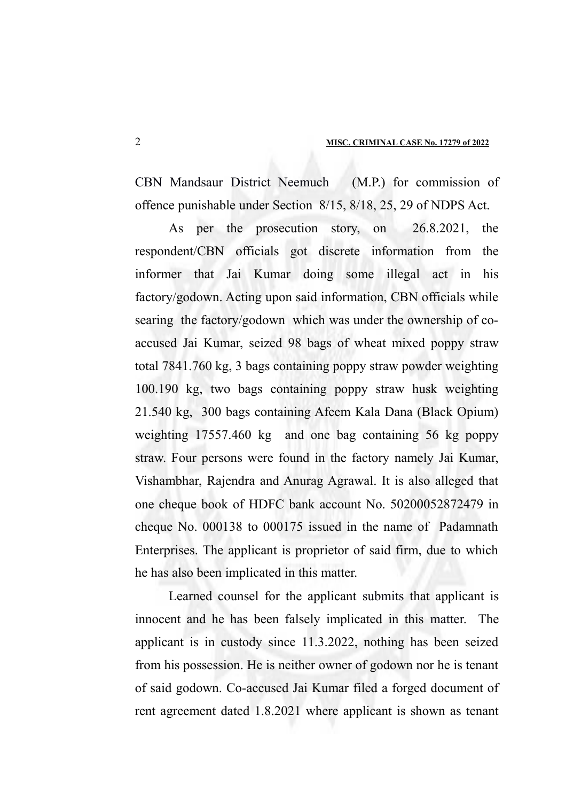CBN Mandsaur District Neemuch (M.P.) for commission of offence punishable under Section 8/15, 8/18, 25, 29 of NDPS Act.

As per the prosecution story, on 26.8.2021, the respondent/CBN officials got discrete information from the informer that Jai Kumar doing some illegal act in his factory/godown. Acting upon said information, CBN officials while searing the factory/godown which was under the ownership of coaccused Jai Kumar, seized 98 bags of wheat mixed poppy straw total 7841.760 kg, 3 bags containing poppy straw powder weighting 100.190 kg, two bags containing poppy straw husk weighting 21.540 kg, 300 bags containing Afeem Kala Dana (Black Opium) weighting 17557.460 kg and one bag containing 56 kg poppy straw. Four persons were found in the factory namely Jai Kumar, Vishambhar, Rajendra and Anurag Agrawal. It is also alleged that one cheque book of HDFC bank account No. 50200052872479 in cheque No. 000138 to 000175 issued in the name of Padamnath Enterprises. The applicant is proprietor of said firm, due to which he has also been implicated in this matter.

Learned counsel for the applicant submits that applicant is innocent and he has been falsely implicated in this matter. The applicant is in custody since 11.3.2022, nothing has been seized from his possession. He is neither owner of godown nor he is tenant of said godown. Co-accused Jai Kumar filed a forged document of rent agreement dated 1.8.2021 where applicant is shown as tenant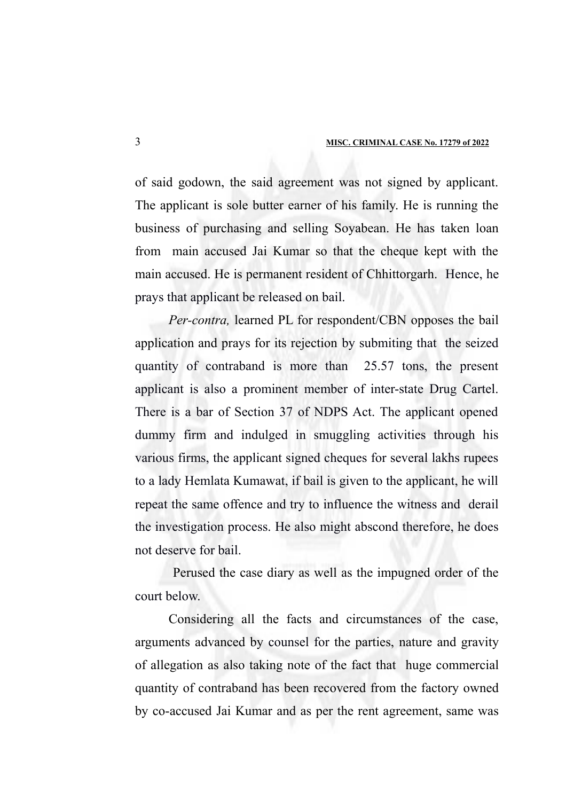of said godown, the said agreement was not signed by applicant. The applicant is sole butter earner of his family. He is running the business of purchasing and selling Soyabean. He has taken loan from main accused Jai Kumar so that the cheque kept with the main accused. He is permanent resident of Chhittorgarh. Hence, he prays that applicant be released on bail.

*Per-contra,* learned PL for respondent/CBN opposes the bail application and prays for its rejection by submiting that the seized quantity of contraband is more than 25.57 tons, the present applicant is also a prominent member of inter-state Drug Cartel. There is a bar of Section 37 of NDPS Act. The applicant opened dummy firm and indulged in smuggling activities through his various firms, the applicant signed cheques for several lakhs rupees to a lady Hemlata Kumawat, if bail is given to the applicant, he will repeat the same offence and try to influence the witness and derail the investigation process. He also might abscond therefore, he does not deserve for bail.

 Perused the case diary as well as the impugned order of the court below.

Considering all the facts and circumstances of the case, arguments advanced by counsel for the parties, nature and gravity of allegation as also taking note of the fact that huge commercial quantity of contraband has been recovered from the factory owned by co-accused Jai Kumar and as per the rent agreement, same was